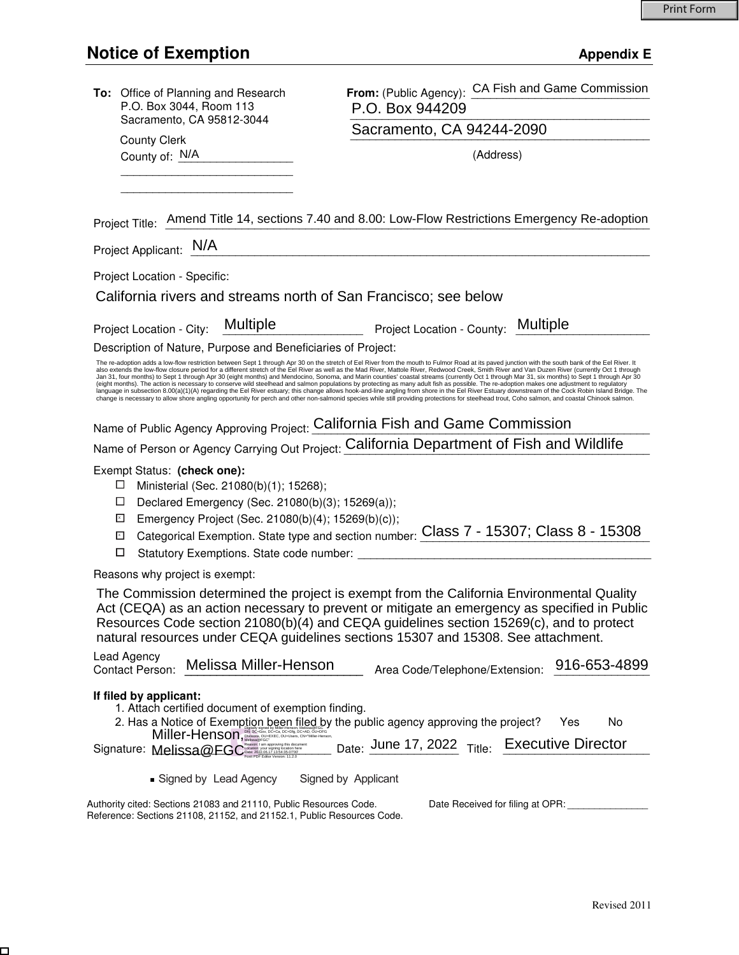# **Notice of Exemption** Appendix E

 $\Box$ 

| To: Office of Planning and Research<br>P.O. Box 3044, Room 113                                                                                                                                                                                                                                                                                                            | From: (Public Agency): CA Fish and Game Commission<br>P.O. Box 944209                                                                                                                                                                                                                                                                                                                                                                                                                                                                                                                                                                                                                                                                                                                                                                                                                                                                                                                                                                                                                                                                                                                                            |
|---------------------------------------------------------------------------------------------------------------------------------------------------------------------------------------------------------------------------------------------------------------------------------------------------------------------------------------------------------------------------|------------------------------------------------------------------------------------------------------------------------------------------------------------------------------------------------------------------------------------------------------------------------------------------------------------------------------------------------------------------------------------------------------------------------------------------------------------------------------------------------------------------------------------------------------------------------------------------------------------------------------------------------------------------------------------------------------------------------------------------------------------------------------------------------------------------------------------------------------------------------------------------------------------------------------------------------------------------------------------------------------------------------------------------------------------------------------------------------------------------------------------------------------------------------------------------------------------------|
| Sacramento, CA 95812-3044                                                                                                                                                                                                                                                                                                                                                 | Sacramento, CA 94244-2090                                                                                                                                                                                                                                                                                                                                                                                                                                                                                                                                                                                                                                                                                                                                                                                                                                                                                                                                                                                                                                                                                                                                                                                        |
| <b>County Clerk</b><br>County of: N/A                                                                                                                                                                                                                                                                                                                                     | (Address)                                                                                                                                                                                                                                                                                                                                                                                                                                                                                                                                                                                                                                                                                                                                                                                                                                                                                                                                                                                                                                                                                                                                                                                                        |
|                                                                                                                                                                                                                                                                                                                                                                           |                                                                                                                                                                                                                                                                                                                                                                                                                                                                                                                                                                                                                                                                                                                                                                                                                                                                                                                                                                                                                                                                                                                                                                                                                  |
|                                                                                                                                                                                                                                                                                                                                                                           |                                                                                                                                                                                                                                                                                                                                                                                                                                                                                                                                                                                                                                                                                                                                                                                                                                                                                                                                                                                                                                                                                                                                                                                                                  |
|                                                                                                                                                                                                                                                                                                                                                                           | Project Title: Amend Title 14, sections 7.40 and 8.00: Low-Flow Restrictions Emergency Re-adoption                                                                                                                                                                                                                                                                                                                                                                                                                                                                                                                                                                                                                                                                                                                                                                                                                                                                                                                                                                                                                                                                                                               |
| Project Applicant: N/A                                                                                                                                                                                                                                                                                                                                                    |                                                                                                                                                                                                                                                                                                                                                                                                                                                                                                                                                                                                                                                                                                                                                                                                                                                                                                                                                                                                                                                                                                                                                                                                                  |
| Project Location - Specific:                                                                                                                                                                                                                                                                                                                                              |                                                                                                                                                                                                                                                                                                                                                                                                                                                                                                                                                                                                                                                                                                                                                                                                                                                                                                                                                                                                                                                                                                                                                                                                                  |
| California rivers and streams north of San Francisco; see below                                                                                                                                                                                                                                                                                                           |                                                                                                                                                                                                                                                                                                                                                                                                                                                                                                                                                                                                                                                                                                                                                                                                                                                                                                                                                                                                                                                                                                                                                                                                                  |
| Multiple<br>Project Location - City:                                                                                                                                                                                                                                                                                                                                      | Project Location - County: Multiple                                                                                                                                                                                                                                                                                                                                                                                                                                                                                                                                                                                                                                                                                                                                                                                                                                                                                                                                                                                                                                                                                                                                                                              |
| Description of Nature, Purpose and Beneficiaries of Project:                                                                                                                                                                                                                                                                                                              |                                                                                                                                                                                                                                                                                                                                                                                                                                                                                                                                                                                                                                                                                                                                                                                                                                                                                                                                                                                                                                                                                                                                                                                                                  |
|                                                                                                                                                                                                                                                                                                                                                                           | The re-adoption adds a low-flow restriction between Sept 1 through Apr 30 on the stretch of Eel River from the mouth to Fulmor Road at its paved junction with the south bank of the Eel River. It<br>also extends the low-flow closure period for a different stretch of the Eel River as well as the Mad River, Mattole River, Redwood Creek, Smith River and Van Duzen River (currently Oct 1 through<br>Jan 31, four months) to Sept 1 through Apr 30 (eight months) and Mendocino, Sonoma, and Marin counties' coastal streams (currently Oct 1 through Mar 31, six months) to Sept 1 through Apr 30<br>(eight months). The action is necessary to conserve wild steelhead and salmon populations by protecting as many adult fish as possible. The re-adoption makes one adjustment to regulatory<br>language in subsection 8.00(a)(1)(A) regarding the Eel River estuary; this change allows hook-and-line angling from shore in the Eel River Estuary downstream of the Cock Robin Island Bridge. The<br>change is necessary to allow shore angling opportunity for perch and other non-salmonid species while still providing protections for steelhead trout, Coho salmon, and coastal Chinook salmon. |
| Name of Public Agency Approving Project: California Fish and Game Commission                                                                                                                                                                                                                                                                                              |                                                                                                                                                                                                                                                                                                                                                                                                                                                                                                                                                                                                                                                                                                                                                                                                                                                                                                                                                                                                                                                                                                                                                                                                                  |
|                                                                                                                                                                                                                                                                                                                                                                           | Name of Person or Agency Carrying Out Project: California Department of Fish and Wildlife                                                                                                                                                                                                                                                                                                                                                                                                                                                                                                                                                                                                                                                                                                                                                                                                                                                                                                                                                                                                                                                                                                                        |
| Exempt Status: (check one):<br>Ministerial (Sec. 21080(b)(1); 15268);<br>⊔<br>□<br>Declared Emergency (Sec. 21080(b)(3); 15269(a));<br>Emergency Project (Sec. 21080(b)(4); 15269(b)(c));<br>$\mathsf{x}$<br>⊠<br>□<br>Statutory Exemptions. State code number:                                                                                                           | Categorical Exemption. State type and section number: Class 7 - 15307; Class 8 - 15308                                                                                                                                                                                                                                                                                                                                                                                                                                                                                                                                                                                                                                                                                                                                                                                                                                                                                                                                                                                                                                                                                                                           |
| Reasons why project is exempt:                                                                                                                                                                                                                                                                                                                                            |                                                                                                                                                                                                                                                                                                                                                                                                                                                                                                                                                                                                                                                                                                                                                                                                                                                                                                                                                                                                                                                                                                                                                                                                                  |
| The Commission determined the project is exempt from the California Environmental Quality<br>Act (CEQA) as an action necessary to prevent or mitigate an emergency as specified in Public<br>Resources Code section 21080(b)(4) and CEQA guidelines section 15269(c), and to protect<br>natural resources under CEQA guidelines sections 15307 and 15308. See attachment. |                                                                                                                                                                                                                                                                                                                                                                                                                                                                                                                                                                                                                                                                                                                                                                                                                                                                                                                                                                                                                                                                                                                                                                                                                  |
| Lead Agency<br>Melissa Miller-Henson<br>Contact Person:                                                                                                                                                                                                                                                                                                                   | 916-653-4899<br>Area Code/Telephone/Extension:                                                                                                                                                                                                                                                                                                                                                                                                                                                                                                                                                                                                                                                                                                                                                                                                                                                                                                                                                                                                                                                                                                                                                                   |
| If filed by applicant:<br>1. Attach certified document of exemption finding.<br>Miller-Henson, December 2014-2015 CH-CA DC-DG, DC-AD, OU-DFG                                                                                                                                                                                                                              | 2. Has a Notice of Exemption been filed by the public agency approving the project?<br>No<br>Yes<br>$_{\text{Date}}$ June 17, 2022 $_{\text{Title}}$ Executive Director                                                                                                                                                                                                                                                                                                                                                                                                                                                                                                                                                                                                                                                                                                                                                                                                                                                                                                                                                                                                                                          |
| Signed by Lead Agency                                                                                                                                                                                                                                                                                                                                                     | Signed by Applicant                                                                                                                                                                                                                                                                                                                                                                                                                                                                                                                                                                                                                                                                                                                                                                                                                                                                                                                                                                                                                                                                                                                                                                                              |
| Authority cited: Sections 21083 and 21110, Public Resources Code.<br>Reference: Sections 21108, 21152, and 21152.1, Public Resources Code.                                                                                                                                                                                                                                | Date Received for filing at OPR:                                                                                                                                                                                                                                                                                                                                                                                                                                                                                                                                                                                                                                                                                                                                                                                                                                                                                                                                                                                                                                                                                                                                                                                 |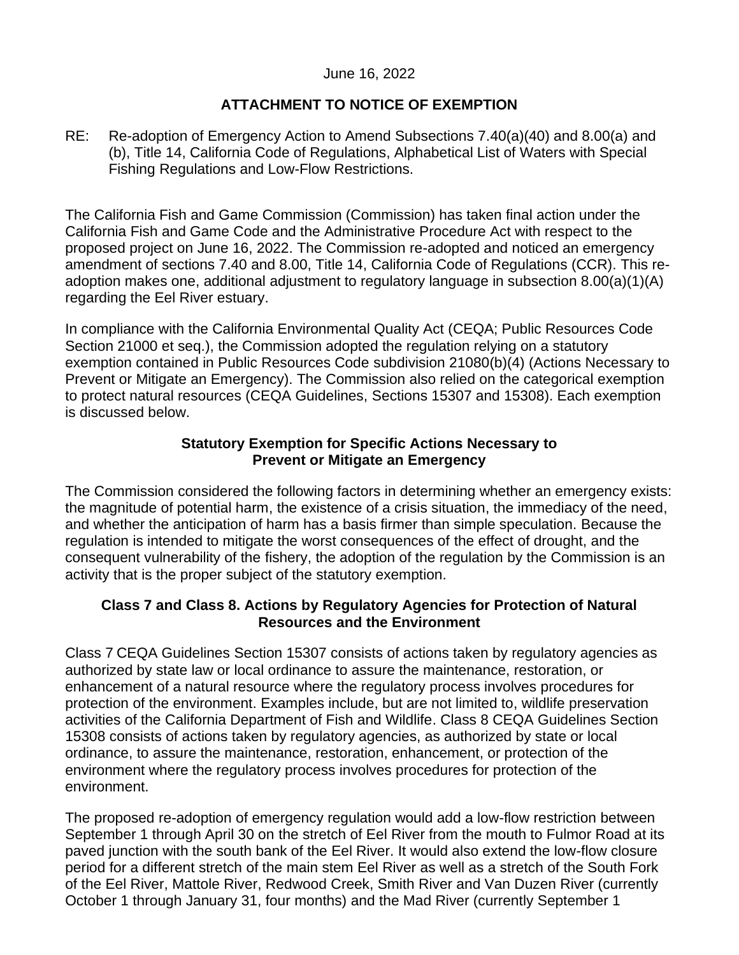## June 16, 2022

# **ATTACHMENT TO NOTICE OF EXEMPTION**

RE: Re-adoption of Emergency Action to Amend Subsections 7.40(a)(40) and 8.00(a) and (b), Title 14, California Code of Regulations, Alphabetical List of Waters with Special Fishing Regulations and Low-Flow Restrictions.

The California Fish and Game Commission (Commission) has taken final action under the California Fish and Game Code and the Administrative Procedure Act with respect to the proposed project on June 16, 2022. The Commission re-adopted and noticed an emergency amendment of sections 7.40 and 8.00, Title 14, California Code of Regulations (CCR). This readoption makes one, additional adjustment to regulatory language in subsection 8.00(a)(1)(A) regarding the Eel River estuary.

In compliance with the California Environmental Quality Act (CEQA; Public Resources Code Section 21000 et seq.), the Commission adopted the regulation relying on a statutory exemption contained in Public Resources Code subdivision 21080(b)(4) (Actions Necessary to Prevent or Mitigate an Emergency). The Commission also relied on the categorical exemption to protect natural resources (CEQA Guidelines, Sections 15307 and 15308). Each exemption is discussed below.

## **Statutory Exemption for Specific Actions Necessary to Prevent or Mitigate an Emergency**

The Commission considered the following factors in determining whether an emergency exists: the magnitude of potential harm, the existence of a crisis situation, the immediacy of the need, and whether the anticipation of harm has a basis firmer than simple speculation. Because the regulation is intended to mitigate the worst consequences of the effect of drought, and the consequent vulnerability of the fishery, the adoption of the regulation by the Commission is an activity that is the proper subject of the statutory exemption.

# **Class 7 and Class 8. Actions by Regulatory Agencies for Protection of Natural Resources and the Environment**

Class 7 CEQA Guidelines Section 15307 consists of actions taken by regulatory agencies as authorized by state law or local ordinance to assure the maintenance, restoration, or enhancement of a natural resource where the regulatory process involves procedures for protection of the environment. Examples include, but are not limited to, wildlife preservation activities of the California Department of Fish and Wildlife. Class 8 CEQA Guidelines Section 15308 consists of actions taken by regulatory agencies, as authorized by state or local ordinance, to assure the maintenance, restoration, enhancement, or protection of the environment where the regulatory process involves procedures for protection of the environment.

The proposed re-adoption of emergency regulation would add a low-flow restriction between September 1 through April 30 on the stretch of Eel River from the mouth to Fulmor Road at its paved junction with the south bank of the Eel River. It would also extend the low-flow closure period for a different stretch of the main stem Eel River as well as a stretch of the South Fork of the Eel River, Mattole River, Redwood Creek, Smith River and Van Duzen River (currently October 1 through January 31, four months) and the Mad River (currently September 1